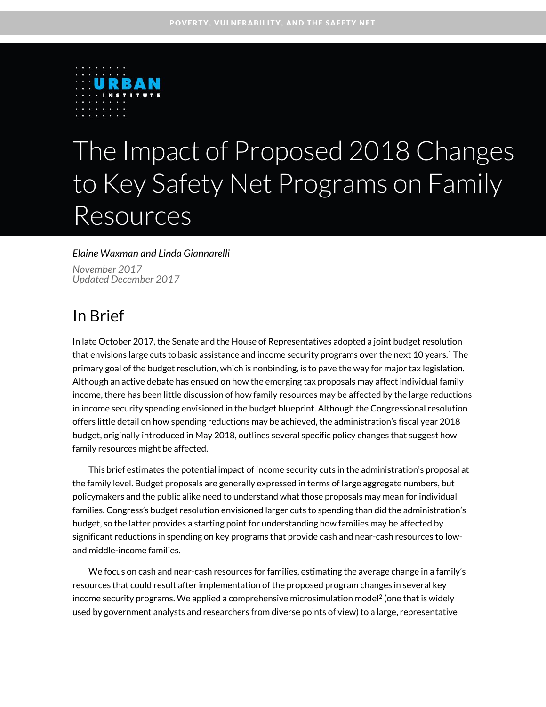

# The Impact of Proposed 2018 Changes to Key Safety Net Programs on Family Resources

#### *Elaine Waxman and Linda Giannarelli*

*November 2017 Updated December 2017*

### In Brief

In late October 2017, the Senate and the House of Representatives adopted a joint budget resolution that envisions large cuts to basic assistance and income security programs over the next 10 years.<sup>1</sup> The primary goal of the budget resolution, which is nonbinding, is to pave the way for major tax legislation. Although an active debate has ensued on how the emerging tax proposals may affect individual family income, there has been little discussion of how family resources may be affected by the large reductions in income security spending envisioned in the budget blueprint. Although the Congressional resolution offers little detail on how spending reductions may be achieved, the administration's fiscal year 2018 budget, originally introduced in May 2018, outlines several specific policy changes that suggest how family resources might be affected.

This brief estimates the potential impact of income security cuts in the administration's proposal at the family level. Budget proposals are generally expressed in terms of large aggregate numbers, but policymakers and the public alike need to understand what those proposals may mean for individual families. Congress's budget resolution envisioned larger cuts to spending than did the administration's budget, so the latter provides a starting point for understanding how families may be affected by significant reductions in spending on key programs that provide cash and near-cash resources to lowand middle-income families.

We focus on cash and near-cash resources for families, estimating the average change in a family's resources that could result after implementation of the proposed program changes in several key income security programs. We applied a comprehensive microsimulation model<sup>2</sup> (one that is widely used by government analysts and researchers from diverse points of view) to a large, representative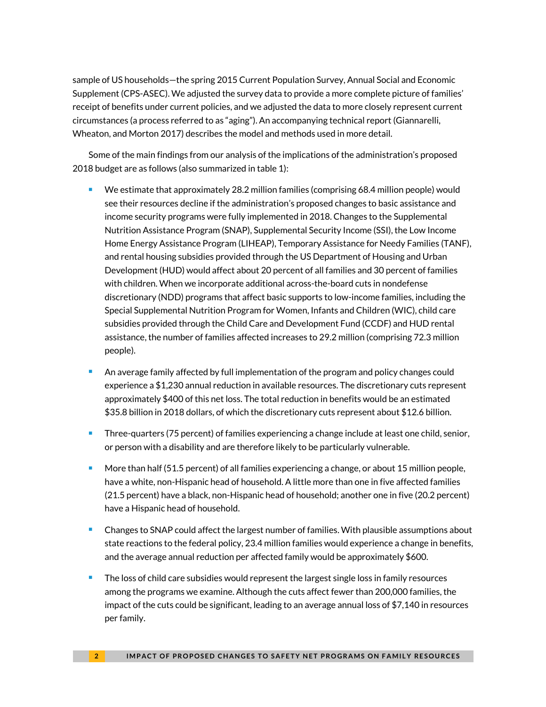sample of US households—the spring 2015 Current Population Survey, Annual Social and Economic Supplement (CPS-ASEC). We adjusted the survey data to provide a more complete picture of families' receipt of benefits under current policies, and we adjusted the data to more closely represent current circumstances (a process referred to as "aging"). An accompanying technical report (Giannarelli, Wheaton, and Morton 2017) describes the model and methods used in more detail.

Some of the main findings from our analysis of the implications of the administration's proposed 2018 budget are as follows (also summarized in table 1):

- We estimate that approximately 28.2 million families (comprising 68.4 million people) would see their resources decline if the administration's proposed changes to basic assistance and income security programs were fully implemented in 2018. Changes to the Supplemental Nutrition Assistance Program (SNAP), Supplemental Security Income (SSI), the Low Income Home Energy Assistance Program (LIHEAP), Temporary Assistance for Needy Families (TANF), and rental housing subsidies provided through the US Department of Housing and Urban Development (HUD) would affect about 20 percent of all families and 30 percent of families with children. When we incorporate additional across-the-board cuts in nondefense discretionary (NDD) programs that affect basic supports to low-income families, including the Special Supplemental Nutrition Program for Women, Infants and Children (WIC), child care subsidies provided through the Child Care and Development Fund (CCDF) and HUD rental assistance, the number of families affected increases to 29.2 million (comprising 72.3 million people).
- An average family affected by full implementation of the program and policy changes could experience a \$1,230 annual reduction in available resources. The discretionary cuts represent approximately \$400 of this net loss. The total reduction in benefits would be an estimated \$35.8 billion in 2018 dollars, of which the discretionary cuts represent about \$12.6 billion.
- **Three-quarters (75 percent) of families experiencing a change include at least one child, senior,** or person with a disability and are therefore likely to be particularly vulnerable.
- More than half (51.5 percent) of all families experiencing a change, or about 15 million people, have a white, non-Hispanic head of household. A little more than one in five affected families (21.5 percent) have a black, non-Hispanic head of household; another one in five (20.2 percent) have a Hispanic head of household.
- **EXP** Changes to SNAP could affect the largest number of families. With plausible assumptions about state reactions to the federal policy, 23.4 million families would experience a change in benefits, and the average annual reduction per affected family would be approximately \$600.
- The loss of child care subsidies would represent the largest single loss in family resources among the programs we examine. Although the cuts affect fewer than 200,000 families, the impact of the cuts could be significant, leading to an average annual loss of \$7,140 in resources per family.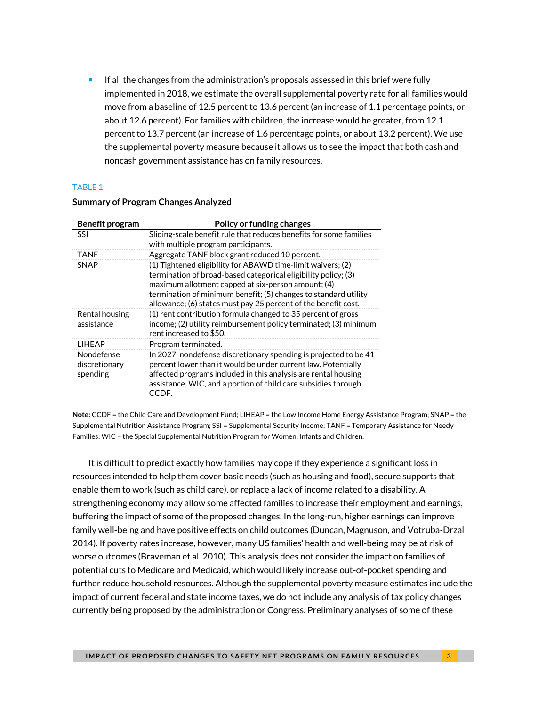If all the changes from the administration's proposals assessed in this brief were fully implemented in 2018, we estimate the overall supplemental poverty rate for all families would move from a baseline of 12.5 percent to 13.6 percent (an increase of 1.1 percentage points, or about 12.6 percent). For families with children, the increase would be greater, from 12.1 percent to 13.7 percent (an increase of 1.6 percentage points, or about 13.2 percent). We use the supplemental poverty measure because it allows us to see the impact that both cash and noncash government assistance has on family resources.

#### TABLE 1

| Benefit program                         | Policy or funding changes                                                                                                                                                                                                                                                                                                |  |  |  |  |  |
|-----------------------------------------|--------------------------------------------------------------------------------------------------------------------------------------------------------------------------------------------------------------------------------------------------------------------------------------------------------------------------|--|--|--|--|--|
| <b>SSI</b>                              | Sliding-scale benefit rule that reduces benefits for some families<br>with multiple program participants.                                                                                                                                                                                                                |  |  |  |  |  |
| TANF                                    | Aggregate TANF block grant reduced 10 percent.                                                                                                                                                                                                                                                                           |  |  |  |  |  |
| <b>SNAP</b>                             | (1) Tightened eligibility for ABAWD time-limit waivers; (2)<br>termination of broad-based categorical eligibility policy; (3)<br>maximum allotment capped at six-person amount; (4)<br>termination of minimum benefit; (5) changes to standard utility<br>allowance; (6) states must pay 25 percent of the benefit cost. |  |  |  |  |  |
| Rental housing<br>assistance            | (1) rent contribution formula changed to 35 percent of gross<br>income; (2) utility reimbursement policy terminated; (3) minimum<br>rent increased to \$50.                                                                                                                                                              |  |  |  |  |  |
| <b>I IHFAP</b>                          | Program terminated.                                                                                                                                                                                                                                                                                                      |  |  |  |  |  |
| Nondefense<br>discretionary<br>spending | In 2027, nondefense discretionary spending is projected to be 41<br>percent lower than it would be under current law. Potentially<br>affected programs included in this analysis are rental housing<br>assistance, WIC, and a portion of child care subsidies through<br>CCDF.                                           |  |  |  |  |  |

#### **Summary of Program Changes Analyzed**

**Note:** CCDF = the Child Care and Development Fund; LIHEAP = the Low Income Home Energy Assistance Program; SNAP = the Supplemental Nutrition Assistance Program; SSI = Supplemental Security Income; TANF = Temporary Assistance for Needy Families; WIC = the Special Supplemental Nutrition Program for Women, Infants and Children.

It is difficult to predict exactly how families may cope if they experience a significant loss in resources intended to help them cover basic needs (such as housing and food), secure supports that enable them to work (such as child care), or replace a lack of income related to a disability. A strengthening economy may allow some affected families to increase their employment and earnings, buffering the impact of some of the proposed changes. In the long-run, higher earnings can improve family well-being and have positive effects on child outcomes (Duncan, Magnuson, and Votruba-Drzal 2014). If poverty rates increase, however, many US families' health and well-being may be at risk of worse outcomes (Braveman et al. 2010). This analysis does not consider the impact on families of potential cuts to Medicare and Medicaid, which would likely increase out-of-pocket spending and further reduce household resources. Although the supplemental poverty measure estimates include the impact of current federal and state income taxes, we do not include any analysis of tax policy changes currently being proposed by the administration or Congress. Preliminary analyses of some of these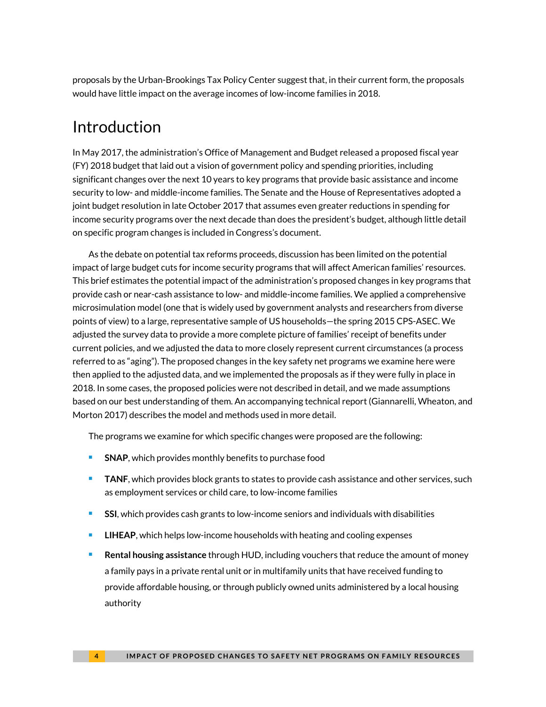proposals by the Urban-Brookings Tax Policy Center suggest that, in their current form, the proposals would have little impact on the average incomes of low-income families in 2018.

### Introduction

In May 2017, the administration's Office of Management and Budget released a proposed fiscal year (FY) 2018 budget that laid out a vision of government policy and spending priorities, including significant changes over the next 10 years to key programs that provide basic assistance and income security to low- and middle-income families. The Senate and the House of Representatives adopted a joint budget resolution in late October 2017 that assumes even greater reductions in spending for income security programs over the next decade than does the president's budget, although little detail on specific program changes is included in Congress's document.

As the debate on potential tax reforms proceeds, discussion has been limited on the potential impact of large budget cuts for income security programs that will affect American families' resources. This brief estimates the potential impact of the administration's proposed changes in key programs that provide cash or near-cash assistance to low- and middle-income families. We applied a comprehensive microsimulation model (one that is widely used by government analysts and researchers from diverse points of view) to a large, representative sample of US households—the spring 2015 CPS-ASEC. We adjusted the survey data to provide a more complete picture of families' receipt of benefits under current policies, and we adjusted the data to more closely represent current circumstances (a process referred to as "aging"). The proposed changes in the key safety net programs we examine here were then applied to the adjusted data, and we implemented the proposals as if they were fully in place in 2018. In some cases, the proposed policies were not described in detail, and we made assumptions based on our best understanding of them. An accompanying technical report (Giannarelli, Wheaton, and Morton 2017) describes the model and methods used in more detail.

The programs we examine for which specific changes were proposed are the following:

- **SNAP**, which provides monthly benefits to purchase food
- **TANF**, which provides block grants to states to provide cash assistance and other services, such as employment services or child care, to low-income families
- **SSI**, which provides cash grants to low-income seniors and individuals with disabilities
- **LIHEAP**, which helps low-income households with heating and cooling expenses
- **Rental housing assistance** through HUD, including vouchers that reduce the amount of money a family pays in a private rental unit or in multifamily units that have received funding to provide affordable housing, or through publicly owned units administered by a local housing authority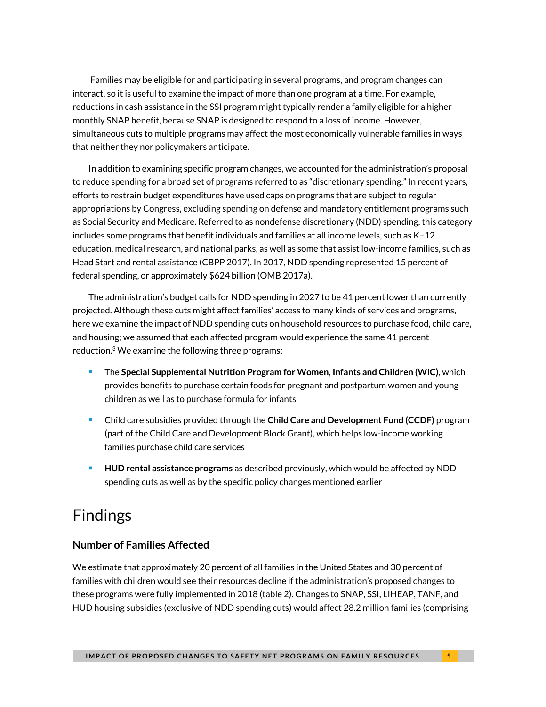Families may be eligible for and participating in several programs, and program changes can interact, so it is useful to examine the impact of more than one program at a time. For example, reductions in cash assistance in the SSI program might typically render a family eligible for a higher monthly SNAP benefit, because SNAP is designed to respond to a loss of income. However, simultaneous cuts to multiple programs may affect the most economically vulnerable families in ways that neither they nor policymakers anticipate.

In addition to examining specific program changes, we accounted for the administration's proposal to reduce spending for a broad set of programs referred to as "discretionary spending." In recent years, efforts to restrain budget expenditures have used caps on programs that are subject to regular appropriations by Congress, excluding spending on defense and mandatory entitlement programs such as Social Security and Medicare. Referred to as nondefense discretionary (NDD) spending, this category includes some programs that benefit individuals and families at all income levels, such as K–12 education, medical research, and national parks, as well as some that assist low-income families, such as Head Start and rental assistance (CBPP 2017). In 2017, NDD spending represented 15 percent of federal spending, or approximately \$624 billion (OMB 2017a).

The administration's budget calls for NDD spending in 2027 to be 41 percent lower than currently projected. Although these cuts might affect families' access to many kinds of services and programs, here we examine the impact of NDD spending cuts on household resources to purchase food, child care, and housing; we assumed that each affected program would experience the same 41 percent reduction. <sup>3</sup> We examine the following three programs:

- The **Special Supplemental Nutrition Program for Women, Infants and Children (WIC)**, which provides benefits to purchase certain foods for pregnant and postpartum women and young children as well as to purchase formula for infants
- Child care subsidies provided through the **Child Care and Development Fund (CCDF)** program (part of the Child Care and Development Block Grant), which helps low-income working families purchase child care services
- **HUD rental assistance programs** as described previously, which would be affected by NDD spending cuts as well as by the specific policy changes mentioned earlier

# Findings

#### **Number of Families Affected**

We estimate that approximately 20 percent of all families in the United States and 30 percent of families with children would see their resources decline if the administration's proposed changes to these programs were fully implemented in 2018 (table 2). Changes to SNAP, SSI, LIHEAP, TANF, and HUD housing subsidies (exclusive of NDD spending cuts) would affect 28.2 million families (comprising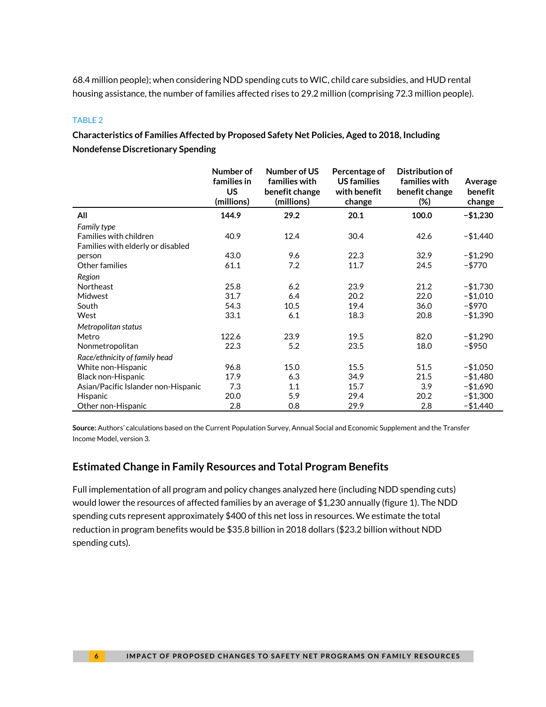68.4 million people); when considering NDD spending cuts to WIC, child care subsidies, and HUD rental housing assistance, the number of families affected rises to 29.2 million (comprising 72.3 million people).

#### TABLE 2

**Characteristics of Families Affected by Proposed Safety Net Policies, Aged to 2018, Including Nondefense Discretionary Spending**

|                                     | Number of<br>families in<br><b>US</b> | Number of US<br>families with<br>benefit change | Percentage of<br><b>US</b> families<br>with benefit | Distribution of<br>families with<br>benefit change | Average<br>benefit |
|-------------------------------------|---------------------------------------|-------------------------------------------------|-----------------------------------------------------|----------------------------------------------------|--------------------|
|                                     | (millions)                            | (millions)                                      | change                                              | $(\%)$                                             | change             |
| All                                 | 144.9                                 | 29.2                                            | 20.1                                                | 100.0                                              | $- $1,230$         |
| Family type                         |                                       |                                                 |                                                     |                                                    |                    |
| Families with children              | 40.9                                  | 12.4                                            | 30.4                                                | 42.6                                               | $- $1,440$         |
| Families with elderly or disabled   |                                       |                                                 |                                                     |                                                    |                    |
| person                              | 43.0                                  | 9.6                                             | 22.3                                                | 32.9                                               | $- $1,290$         |
| Other families                      | 61.1                                  | 7.2                                             | 11.7                                                | 24.5                                               | $- $770$           |
| Region                              |                                       |                                                 |                                                     |                                                    |                    |
| Northeast                           | 25.8                                  | 6.2                                             | 23.9                                                | 21.2                                               | $- $1,730$         |
| Midwest                             | 31.7                                  | 6.4                                             | 20.2                                                | 22.0                                               | $-$1,010$          |
| South                               | 54.3                                  | 10.5                                            | 19.4                                                | 36.0                                               | -\$970             |
| West                                | 33.1                                  | 6.1                                             | 18.3                                                | 20.8                                               | $- $1,390$         |
| Metropolitan status                 |                                       |                                                 |                                                     |                                                    |                    |
| Metro                               | 122.6                                 | 23.9                                            | 19.5                                                | 82.0                                               | $-$1,290$          |
| Nonmetropolitan                     | 22.3                                  | 5.2                                             | 23.5                                                | 18.0                                               | -\$950             |
| Race/ethnicity of family head       |                                       |                                                 |                                                     |                                                    |                    |
| White non-Hispanic                  | 96.8                                  | 15.0                                            | 15.5                                                | 51.5                                               | $-$1,050$          |
| Black non-Hispanic                  | 17.9                                  | 6.3                                             | 34.9                                                | 21.5                                               | $- $1,480$         |
| Asian/Pacific Islander non-Hispanic | 7.3                                   | 1.1                                             | 15.7                                                | 3.9                                                | $- $1,690$         |
| Hispanic                            | 20.0                                  | 5.9                                             | 29.4                                                | 20.2                                               | $- $1,300$         |
| Other non-Hispanic                  | 2.8                                   | 0.8                                             | 29.9                                                | 2.8                                                | $-$1,440$          |

**Source:** Authors' calculations based on the Current Population Survey, Annual Social and Economic Supplement and the Transfer Income Model, version 3.

#### **Estimated Change in Family Resources and Total Program Benefits**

Full implementation of all program and policy changes analyzed here (including NDD spending cuts) would lower the resources of affected families by an average of \$1,230 annually (figure 1). The NDD spending cuts represent approximately \$400 of this net loss in resources. We estimate the total reduction in program benefits would be \$35.8 billion in 2018 dollars (\$23.2 billion without NDD spending cuts).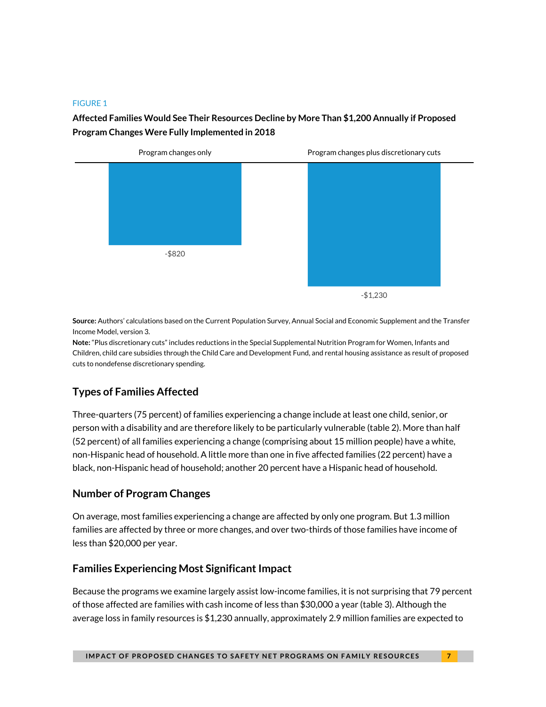#### FIGURE 1

#### **Affected Families Would See Their Resources Decline by More Than \$1,200 Annually if Proposed Program Changes Were Fully Implemented in 2018**



**Source:** Authors' calculations based on the Current Population Survey, Annual Social and Economic Supplement and the Transfer Income Model, version 3.

**Note:** "Plus discretionary cuts" includes reductions in the Special Supplemental Nutrition Program for Women, Infants and Children, child care subsidies through the Child Care and Development Fund, and rental housing assistance as result of proposed cuts to nondefense discretionary spending.

#### **Types of Families Affected**

Three-quarters (75 percent) of families experiencing a change include at least one child, senior, or person with a disability and are therefore likely to be particularly vulnerable (table 2). More than half (52 percent) of all families experiencing a change (comprising about 15 million people) have a white, non-Hispanic head of household. A little more than one in five affected families (22 percent) have a black, non-Hispanic head of household; another 20 percent have a Hispanic head of household.

#### **Number of Program Changes**

On average, most families experiencing a change are affected by only one program. But 1.3 million families are affected by three or more changes, and over two-thirds of those families have income of less than \$20,000 per year.

#### **Families Experiencing Most Significant Impact**

Because the programs we examine largely assist low-income families, it is not surprising that 79 percent of those affected are families with cash income of less than \$30,000 a year (table 3). Although the average loss in family resources is \$1,230 annually, approximately 2.9 million families are expected to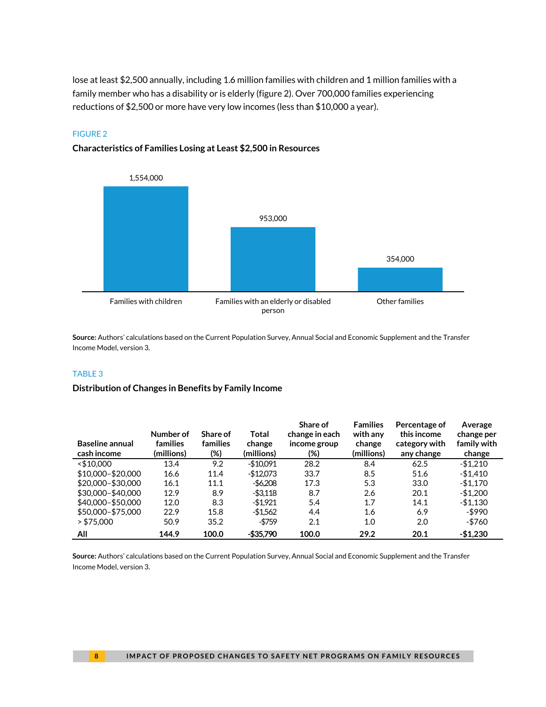lose at least \$2,500 annually, including 1.6 million families with children and 1 million families with a family member who has a disability or is elderly (figure 2). Over 700,000 families experiencing reductions of \$2,500 or more have very low incomes (less than \$10,000 a year).

#### FIGURE 2





**Source:** Authors' calculations based on the Current Population Survey, Annual Social and Economic Supplement and the Transfer Income Model, version 3.

#### TABLE 3

#### **Distribution of Changes in Benefits by Family Income**

| <b>Baseline annual</b><br>cash income | Number of<br>families<br>(millions) | Share of<br>families<br>$(\%)$ | Total<br>change<br>(millions) | Share of<br>change in each<br>income group<br>(%) | <b>Families</b><br>with any<br>change<br>(millions) | Percentage of<br>this income<br>category with<br>any change | Average<br>change per<br>family with<br>change |
|---------------------------------------|-------------------------------------|--------------------------------|-------------------------------|---------------------------------------------------|-----------------------------------------------------|-------------------------------------------------------------|------------------------------------------------|
| $<$ \$10.000                          | 13.4                                | 9.2                            | $-$10.091$                    | 28.2                                              | 8.4                                                 | 62.5                                                        | $-$1.210$                                      |
| \$10,000-\$20,000                     | 16.6                                | 11.4                           | $-$12.073$                    | 33.7                                              | 8.5                                                 | 51.6                                                        | -\$1.410                                       |
| \$20,000-\$30,000                     | 16.1                                | 11.1                           | -\$6.208                      | 17.3                                              | 5.3                                                 | 33.0                                                        | $-$1.170$                                      |
| \$30,000-\$40,000                     | 12.9                                | 8.9                            | -\$3.118                      | 8.7                                               | 2.6                                                 | 20.1                                                        | $-$1,200$                                      |
| \$40,000-\$50,000                     | 12.0                                | 8.3                            | -\$1.921                      | 5.4                                               | 1.7                                                 | 14.1                                                        | $-$1.130$                                      |
| \$50,000-\$75,000                     | 22.9                                | 15.8                           | -\$1.562                      | 4.4                                               | 1.6                                                 | 6.9                                                         | -\$990                                         |
| > \$75.000                            | 50.9                                | 35.2                           | -\$759                        | 2.1                                               | 1.0                                                 | 2.0                                                         | -\$760                                         |
| All                                   | 144.9                               | 100.0                          | $-$ \$35.790                  | 100.0                                             | 29.2                                                | 20.1                                                        | $-$1,230$                                      |

**Source:** Authors' calculations based on the Current Population Survey, Annual Social and Economic Supplement and the Transfer Income Model, version 3.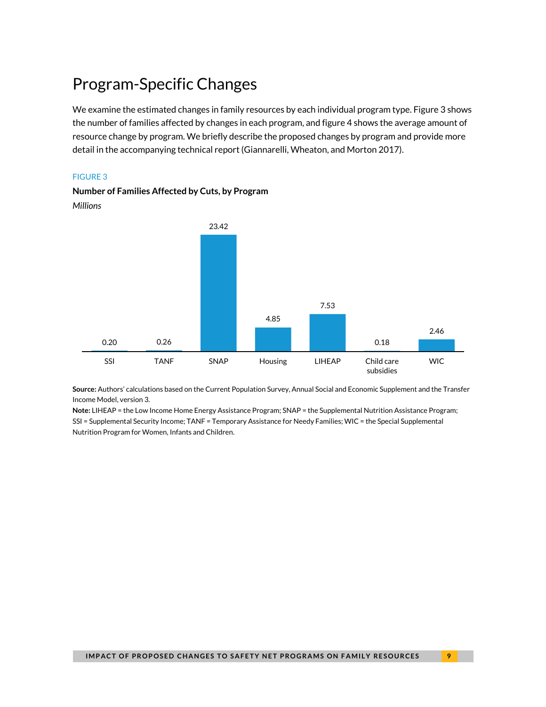# Program-Specific Changes

We examine the estimated changes in family resources by each individual program type. Figure 3 shows the number of families affected by changes in each program, and figure 4 shows the average amount of resource change by program. We briefly describe the proposed changes by program and provide more detail in the accompanying technical report (Giannarelli, Wheaton, and Morton 2017).

#### FIGURE 3

**Number of Families Affected by Cuts, by Program** *Millions*



**Source:** Authors' calculations based on the Current Population Survey, Annual Social and Economic Supplement and the Transfer Income Model, version 3.

**Note:** LIHEAP = the Low Income Home Energy Assistance Program; SNAP = the Supplemental Nutrition Assistance Program; SSI = Supplemental Security Income; TANF = Temporary Assistance for Needy Families; WIC = the Special Supplemental Nutrition Program for Women, Infants and Children.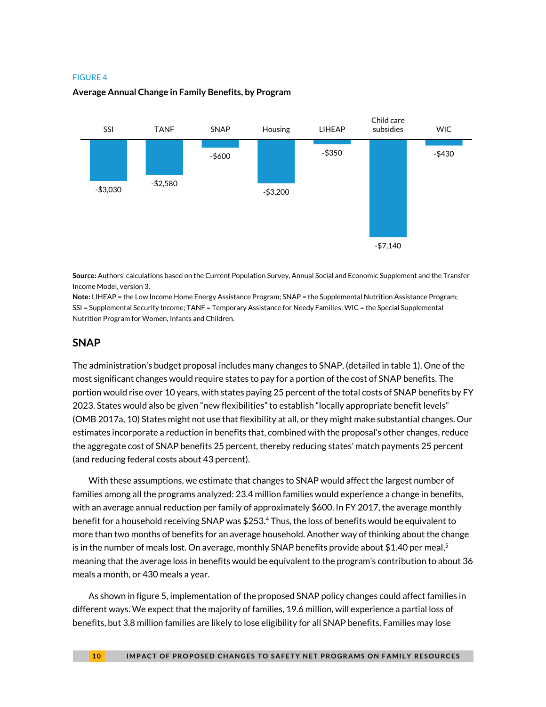#### FIGURE 4

#### **Average Annual Change in Family Benefits, by Program**



**Source:** Authors' calculations based on the Current Population Survey, Annual Social and Economic Supplement and the Transfer Income Model, version 3.

**Note:** LIHEAP = the Low Income Home Energy Assistance Program; SNAP = the Supplemental Nutrition Assistance Program; SSI = Supplemental Security Income; TANF = Temporary Assistance for Needy Families; WIC = the Special Supplemental Nutrition Program for Women, Infants and Children.

#### **SNAP**

The administration's budget proposal includes many changes to SNAP, (detailed in table 1). One of the most significant changes would require states to pay for a portion of the cost of SNAP benefits. The portion would rise over 10 years, with states paying 25 percent of the total costs of SNAP benefits by FY 2023. States would also be given "new flexibilities" to establish "locally appropriate benefit levels" (OMB 2017a, 10) States might not use that flexibility at all, or they might make substantial changes. Our estimates incorporate a reduction in benefits that, combined with the proposal's other changes, reduce the aggregate cost of SNAP benefits 25 percent, thereby reducing states' match payments 25 percent (and reducing federal costs about 43 percent).

With these assumptions, we estimate that changes to SNAP would affect the largest number of families among all the programs analyzed: 23.4 million families would experience a change in benefits, with an average annual reduction per family of approximately \$600. In FY 2017, the average monthly benefit for a household receiving SNAP was \$253.<sup>4</sup> Thus, the loss of benefits would be equivalent to more than two months of benefits for an average household. Another way of thinking about the change is in the number of meals lost. On average, monthly SNAP benefits provide about \$1.40 per meal, 5 meaning that the average loss in benefits would be equivalent to the program's contribution to about 36 meals a month, or 430 meals a year.

As shown in figure 5, implementation of the proposed SNAP policy changes could affect families in different ways. We expect that the majority of families, 19.6 million, will experience a partial loss of benefits, but 3.8 million families are likely to lose eligibility for all SNAP benefits. Families may lose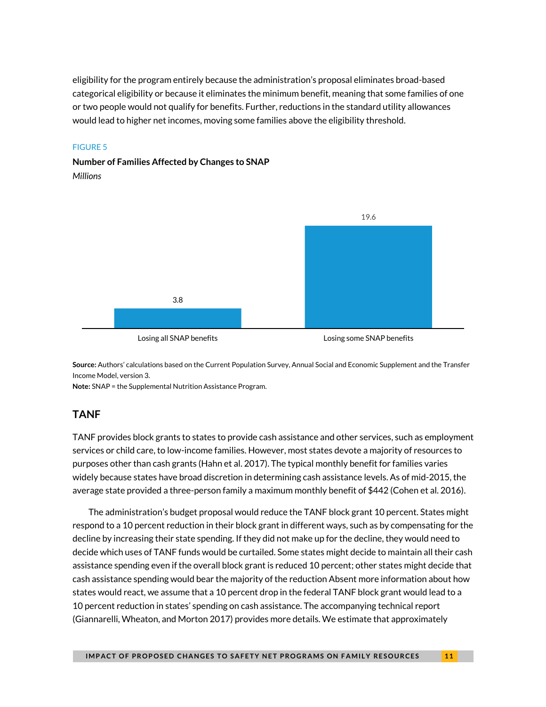eligibility for the program entirely because the administration's proposal eliminates broad-based categorical eligibility or because it eliminates the minimum benefit, meaning that some families of one or two people would not qualify for benefits. Further, reductions in the standard utility allowances would lead to higher net incomes, moving some families above the eligibility threshold.

#### FIGURE 5

#### **Number of Families Affected by Changes to SNAP** *Millions*



**Source:** Authors' calculations based on the Current Population Survey, Annual Social and Economic Supplement and the Transfer Income Model, version 3.

**Note:** SNAP = the Supplemental Nutrition Assistance Program.

#### **TANF**

TANF provides block grants to states to provide cash assistance and other services, such as employment services or child care, to low-income families. However, most states devote a majority of resources to purposes other than cash grants (Hahn et al. 2017). The typical monthly benefit for families varies widely because states have broad discretion in determining cash assistance levels. As of mid-2015, the average state provided a three-person family a maximum monthly benefit of \$442 (Cohen et al. 2016).

The administration's budget proposal would reduce the TANF block grant 10 percent. States might respond to a 10 percent reduction in their block grant in different ways, such as by compensating for the decline by increasing their state spending. If they did not make up for the decline, they would need to decide which uses of TANF funds would be curtailed. Some states might decide to maintain all their cash assistance spending even if the overall block grant is reduced 10 percent; other states might decide that cash assistance spending would bear the majority of the reduction Absent more information about how states would react, we assume that a 10 percent drop in the federal TANF block grant would lead to a 10 percent reduction in states' spending on cash assistance. The accompanying technical report (Giannarelli, Wheaton, and Morton 2017) provides more details. We estimate that approximately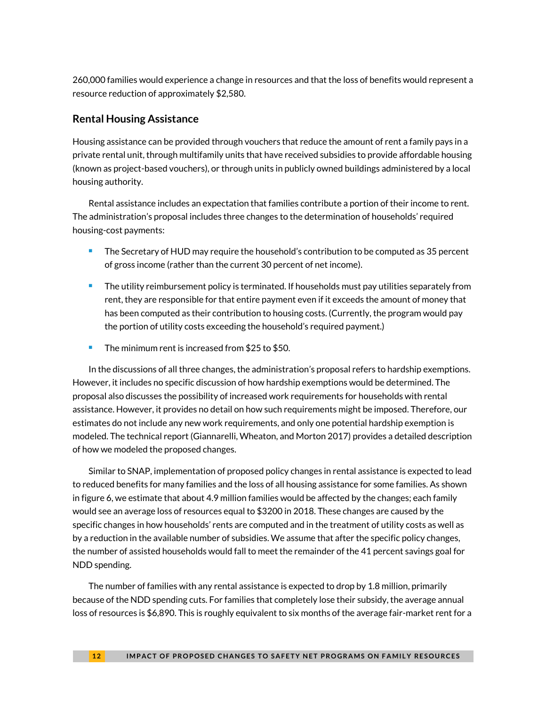260,000 families would experience a change in resources and that the loss of benefits would represent a resource reduction of approximately \$2,580.

#### **Rental Housing Assistance**

Housing assistance can be provided through vouchers that reduce the amount of rent a family pays in a private rental unit, through multifamily units that have received subsidies to provide affordable housing (known as project-based vouchers), or through units in publicly owned buildings administered by a local housing authority.

Rental assistance includes an expectation that families contribute a portion of their income to rent. The administration's proposal includes three changes to the determination of households' required housing-cost payments:

- **The Secretary of HUD may require the household's contribution to be computed as 35 percent** of gross income (rather than the current 30 percent of net income).
- **The utility reimbursement policy is terminated. If households must pay utilities separately from** rent, they are responsible for that entire payment even if it exceeds the amount of money that has been computed as their contribution to housing costs. (Currently, the program would pay the portion of utility costs exceeding the household's required payment.)
- The minimum rent is increased from \$25 to \$50.

In the discussions of all three changes, the administration's proposal refers to hardship exemptions. However, it includes no specific discussion of how hardship exemptions would be determined. The proposal also discusses the possibility of increased work requirements for households with rental assistance. However, it provides no detail on how such requirements might be imposed. Therefore, our estimates do not include any new work requirements, and only one potential hardship exemption is modeled. The technical report (Giannarelli, Wheaton, and Morton 2017) provides a detailed description of how we modeled the proposed changes.

Similar to SNAP, implementation of proposed policy changes in rental assistance is expected to lead to reduced benefits for many families and the loss of all housing assistance for some families. As shown in figure 6, we estimate that about 4.9 million families would be affected by the changes; each family would see an average loss of resources equal to \$3200 in 2018. These changes are caused by the specific changes in how households' rents are computed and in the treatment of utility costs as well as by a reduction in the available number of subsidies. We assume that after the specific policy changes, the number of assisted households would fall to meet the remainder of the 41 percent savings goal for NDD spending.

The number of families with any rental assistance is expected to drop by 1.8 million, primarily because of the NDD spending cuts. For families that completely lose their subsidy, the average annual loss of resources is \$6,890. This is roughly equivalent to six months of the average fair-market rent for a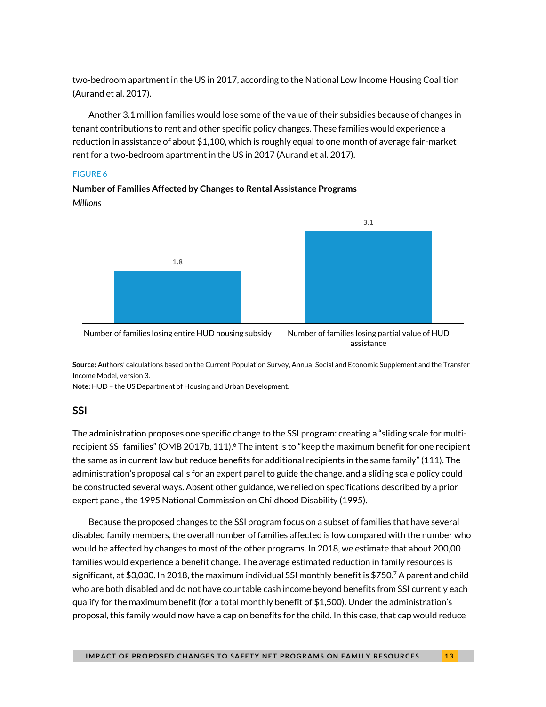two-bedroom apartment in the US in 2017, according to the National Low Income Housing Coalition (Aurand et al. 2017).

Another 3.1 million families would lose some of the value of their subsidies because of changes in tenant contributions to rent and other specific policy changes. These families would experience a reduction in assistance of about \$1,100, which is roughly equal to one month of average fair-market rent for a two-bedroom apartment in the US in 2017 (Aurand et al. 2017).

#### FIGURE 6

#### **Number of Families Affected by Changes to Rental Assistance Programs** *Millions*





**Source:** Authors' calculations based on the Current Population Survey, Annual Social and Economic Supplement and the Transfer Income Model, version 3.

**Note:** HUD = the US Department of Housing and Urban Development.

#### **SSI**

The administration proposes one specific change to the SSI program: creating a "sliding scale for multirecipient SSI families" (OMB 2017b, 111). $6$  The intent is to "keep the maximum benefit for one recipient the same as in current law but reduce benefits for additional recipients in the same family" (111). The administration's proposal calls for an expert panel to guide the change, and a sliding scale policy could be constructed several ways. Absent other guidance, we relied on specifications described by a prior expert panel, the 1995 National Commission on Childhood Disability (1995).

Because the proposed changes to the SSI program focus on a subset of families that have several disabled family members, the overall number of families affected is low compared with the number who would be affected by changes to most of the other programs. In 2018, we estimate that about 200,00 families would experience a benefit change. The average estimated reduction in family resources is significant, at \$3,030. In 2018, the maximum individual SSI monthly benefit is \$750.<sup>7</sup> A parent and child who are both disabled and do not have countable cash income beyond benefits from SSI currently each qualify for the maximum benefit (for a total monthly benefit of \$1,500). Under the administration's proposal, this family would now have a cap on benefits for the child. In this case, that cap would reduce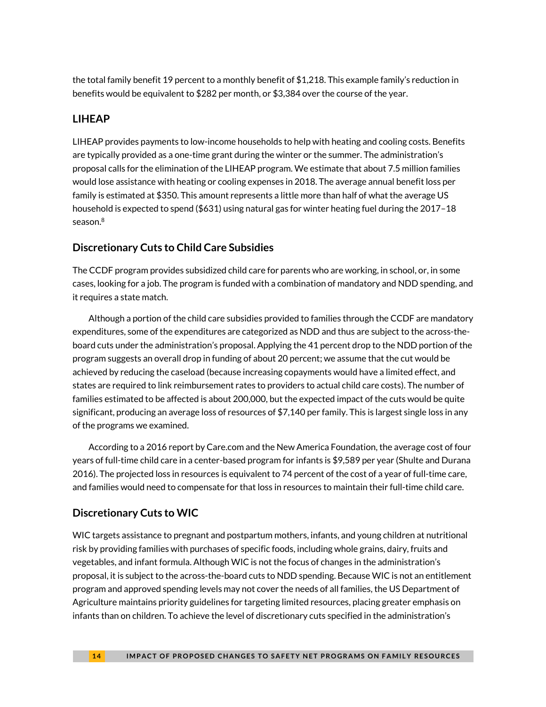the total family benefit 19 percent to a monthly benefit of \$1,218. This example family's reduction in benefits would be equivalent to \$282 per month, or \$3,384 over the course of the year.

#### **LIHEAP**

LIHEAP provides payments to low-income households to help with heating and cooling costs. Benefits are typically provided as a one-time grant during the winter or the summer. The administration's proposal calls for the elimination of the LIHEAP program. We estimate that about 7.5 million families would lose assistance with heating or cooling expenses in 2018. The average annual benefit loss per family is estimated at \$350. This amount represents a little more than half of what the average US household is expected to spend (\$631) using natural gas for winter heating fuel during the 2017–18 season. 8

#### **Discretionary Cuts to Child Care Subsidies**

The CCDF program provides subsidized child care for parents who are working, in school, or, in some cases, looking for a job. The program is funded with a combination of mandatory and NDD spending, and it requires a state match.

Although a portion of the child care subsidies provided to families through the CCDF are mandatory expenditures, some of the expenditures are categorized as NDD and thus are subject to the across-theboard cuts under the administration's proposal. Applying the 41 percent drop to the NDD portion of the program suggests an overall drop in funding of about 20 percent; we assume that the cut would be achieved by reducing the caseload (because increasing copayments would have a limited effect, and states are required to link reimbursement rates to providers to actual child care costs). The number of families estimated to be affected is about 200,000, but the expected impact of the cuts would be quite significant, producing an average loss of resources of \$7,140 per family. This is largest single loss in any of the programs we examined.

According to a 2016 report by Care.com and the New America Foundation, the average cost of four years of full-time child care in a center-based program for infants is \$9,589 per year (Shulte and Durana 2016). The projected loss in resources is equivalent to 74 percent of the cost of a year of full-time care, and families would need to compensate for that loss in resources to maintain their full-time child care.

#### **Discretionary Cuts to WIC**

WIC targets assistance to pregnant and postpartum mothers, infants, and young children at nutritional risk by providing families with purchases of specific foods, including whole grains, dairy, fruits and vegetables, and infant formula. Although WIC is not the focus of changes in the administration's proposal, it is subject to the across-the-board cuts to NDD spending. Because WIC is not an entitlement program and approved spending levels may not cover the needs of all families, the US Department of Agriculture maintains priority guidelines for targeting limited resources, placing greater emphasis on infants than on children. To achieve the level of discretionary cuts specified in the administration's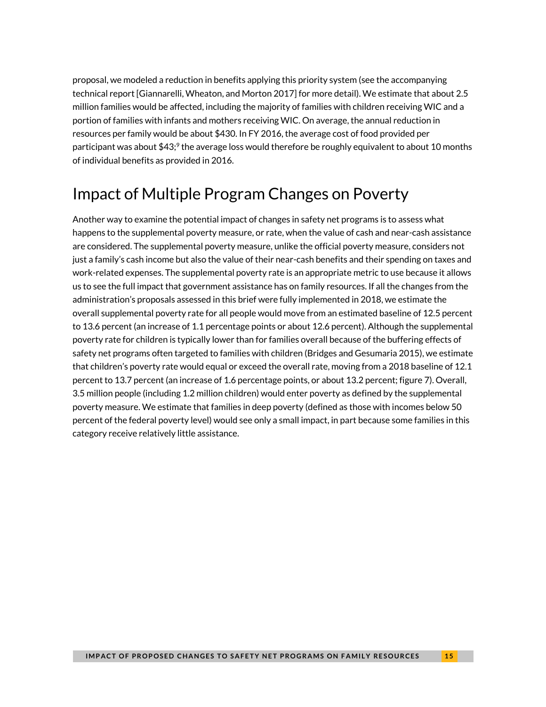proposal, we modeled a reduction in benefits applying this priority system (see the accompanying technical report [Giannarelli, Wheaton, and Morton 2017] for more detail). We estimate that about 2.5 million families would be affected, including the majority of families with children receiving WIC and a portion of families with infants and mothers receiving WIC. On average, the annual reduction in resources per family would be about \$430. In FY 2016, the average cost of food provided per participant was about \$43;<sup>9</sup> the average loss would therefore be roughly equivalent to about 10 months of individual benefits as provided in 2016.

# Impact of Multiple Program Changes on Poverty

Another way to examine the potential impact of changes in safety net programs is to assess what happens to the supplemental poverty measure, or rate, when the value of cash and near-cash assistance are considered. The supplemental poverty measure, unlike the official poverty measure, considers not just a family's cash income but also the value of their near-cash benefits and their spending on taxes and work-related expenses. The supplemental poverty rate is an appropriate metric to use because it allows us to see the full impact that government assistance has on family resources. If all the changes from the administration's proposals assessed in this brief were fully implemented in 2018, we estimate the overall supplemental poverty rate for all people would move from an estimated baseline of 12.5 percent to 13.6 percent (an increase of 1.1 percentage points or about 12.6 percent). Although the supplemental poverty rate for children is typically lower than for families overall because of the buffering effects of safety net programs often targeted to families with children (Bridges and Gesumaria 2015), we estimate that children's poverty rate would equal or exceed the overall rate, moving from a 2018 baseline of 12.1 percent to 13.7 percent (an increase of 1.6 percentage points, or about 13.2 percent; figure 7). Overall, 3.5 million people (including 1.2 million children) would enter poverty as defined by the supplemental poverty measure. We estimate that families in deep poverty (defined as those with incomes below 50 percent of the federal poverty level) would see only a small impact, in part because some families in this category receive relatively little assistance.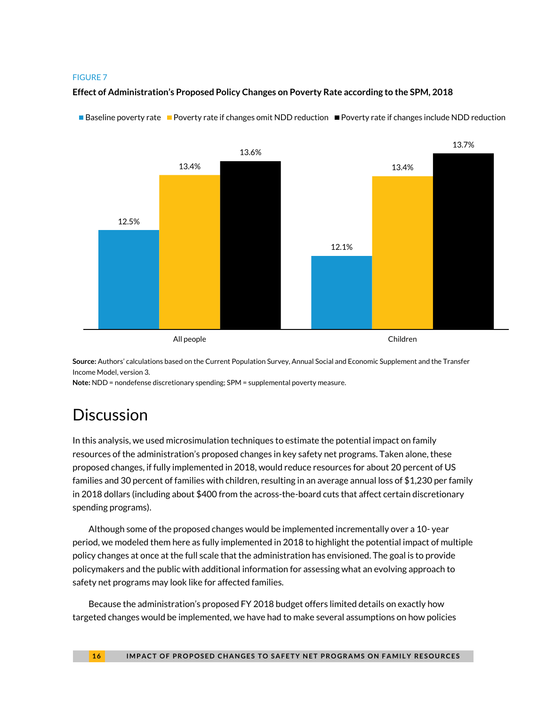#### FIGURE 7

#### **Effect of Administration's Proposed Policy Changes on Poverty Rate according to the SPM, 2018**



■Baseline poverty rate ■ Poverty rate if changes omit NDD reduction ■ Poverty rate if changes include NDD reduction

**Source:** Authors' calculations based on the Current Population Survey, Annual Social and Economic Supplement and the Transfer Income Model, version 3.

**Note:** NDD = nondefense discretionary spending; SPM = supplemental poverty measure.

# **Discussion**

In this analysis, we used microsimulation techniques to estimate the potential impact on family resources of the administration's proposed changes in key safety net programs. Taken alone, these proposed changes, if fully implemented in 2018, would reduce resources for about 20 percent of US families and 30 percent of families with children, resulting in an average annual loss of \$1,230 per family in 2018 dollars (including about \$400 from the across-the-board cuts that affect certain discretionary spending programs).

Although some of the proposed changes would be implemented incrementally over a 10- year period, we modeled them here as fully implemented in 2018 to highlight the potential impact of multiple policy changes at once at the full scale that the administration has envisioned. The goal is to provide policymakers and the public with additional information for assessing what an evolving approach to safety net programs may look like for affected families.

Because the administration's proposed FY 2018 budget offers limited details on exactly how targeted changes would be implemented, we have had to make several assumptions on how policies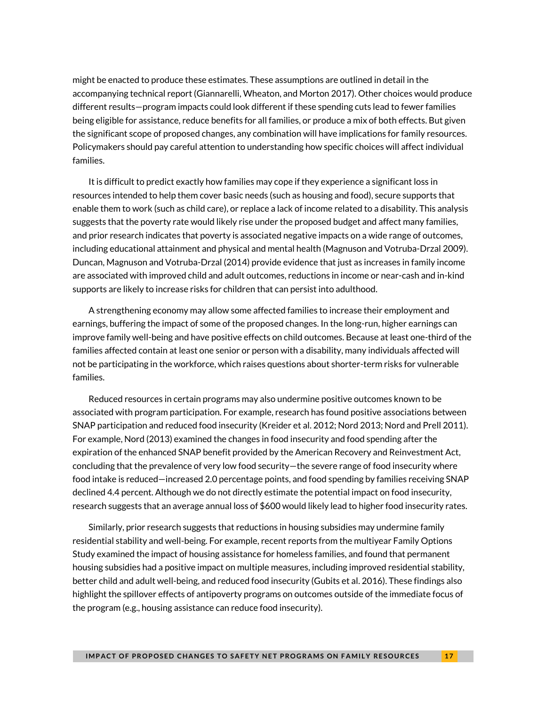might be enacted to produce these estimates. These assumptions are outlined in detail in the accompanying technical report (Giannarelli, Wheaton, and Morton 2017). Other choices would produce different results—program impacts could look different if these spending cuts lead to fewer families being eligible for assistance, reduce benefits for all families, or produce a mix of both effects. But given the significant scope of proposed changes, any combination will have implications for family resources. Policymakers should pay careful attention to understanding how specific choices will affect individual families.

It is difficult to predict exactly how families may cope if they experience a significant loss in resources intended to help them cover basic needs (such as housing and food), secure supports that enable them to work (such as child care), or replace a lack of income related to a disability. This analysis suggests that the poverty rate would likely rise under the proposed budget and affect many families, and prior research indicates that poverty is associated negative impacts on a wide range of outcomes, including educational attainment and physical and mental health (Magnuson and Votruba-Drzal 2009). Duncan, Magnuson and Votruba-Drzal (2014) provide evidence that just as increases in family income are associated with improved child and adult outcomes, reductions in income or near-cash and in-kind supports are likely to increase risks for children that can persist into adulthood.

A strengthening economy may allow some affected families to increase their employment and earnings, buffering the impact of some of the proposed changes. In the long-run, higher earnings can improve family well-being and have positive effects on child outcomes. Because at least one-third of the families affected contain at least one senior or person with a disability, many individuals affected will not be participating in the workforce, which raises questions about shorter-term risks for vulnerable families.

Reduced resources in certain programs may also undermine positive outcomes known to be associated with program participation. For example, research has found positive associations between SNAP participation and reduced food insecurity (Kreider et al. 2012; Nord 2013; Nord and Prell 2011). For example, Nord (2013) examined the changes in food insecurity and food spending after the expiration of the enhanced SNAP benefit provided by the American Recovery and Reinvestment Act, concluding that the prevalence of very low food security—the severe range of food insecurity where food intake is reduced—increased 2.0 percentage points, and food spending by families receiving SNAP declined 4.4 percent. Although we do not directly estimate the potential impact on food insecurity, research suggests that an average annual loss of \$600 would likely lead to higher food insecurity rates.

Similarly, prior research suggests that reductions in housing subsidies may undermine family residential stability and well-being. For example, recent reports from the multiyear Family Options Study examined the impact of housing assistance for homeless families, and found that permanent housing subsidies had a positive impact on multiple measures, including improved residential stability, better child and adult well-being, and reduced food insecurity (Gubits et al. 2016). These findings also highlight the spillover effects of antipoverty programs on outcomes outside of the immediate focus of the program (e.g., housing assistance can reduce food insecurity).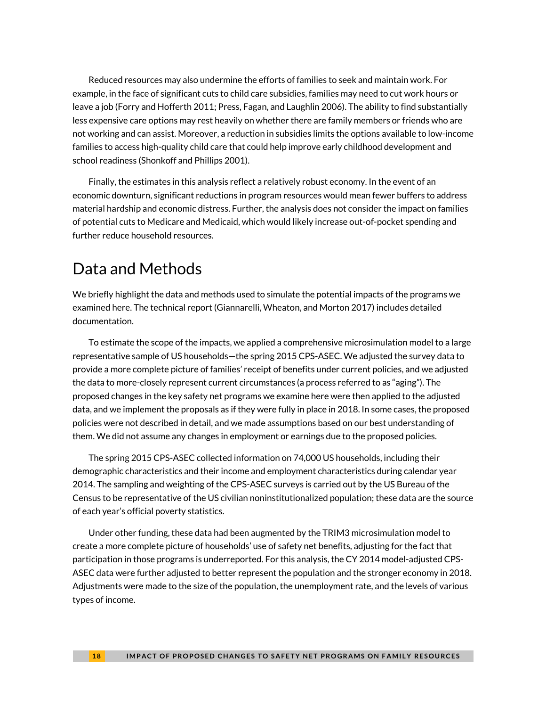Reduced resources may also undermine the efforts of families to seek and maintain work. For example, in the face of significant cuts to child care subsidies, families may need to cut work hours or leave a job (Forry and Hofferth 2011; Press, Fagan, and Laughlin 2006). The ability to find substantially less expensive care options may rest heavily on whether there are family members or friends who are not working and can assist. Moreover, a reduction in subsidies limits the options available to low-income families to access high-quality child care that could help improve early childhood development and school readiness (Shonkoff and Phillips 2001).

Finally, the estimates in this analysis reflect a relatively robust economy. In the event of an economic downturn, significant reductions in program resources would mean fewer buffers to address material hardship and economic distress. Further, the analysis does not consider the impact on families of potential cuts to Medicare and Medicaid, which would likely increase out-of-pocket spending and further reduce household resources.

### Data and Methods

We briefly highlight the data and methods used to simulate the potential impacts of the programs we examined here. The technical report (Giannarelli, Wheaton, and Morton 2017) includes detailed documentation.

To estimate the scope of the impacts, we applied a comprehensive microsimulation model to a large representative sample of US households—the spring 2015 CPS-ASEC. We adjusted the survey data to provide a more complete picture of families' receipt of benefits under current policies, and we adjusted the data to more-closely represent current circumstances (a process referred to as "aging"). The proposed changes in the key safety net programs we examine here were then applied to the adjusted data, and we implement the proposals as if they were fully in place in 2018. In some cases, the proposed policies were not described in detail, and we made assumptions based on our best understanding of them. We did not assume any changes in employment or earnings due to the proposed policies.

The spring 2015 CPS-ASEC collected information on 74,000 US households, including their demographic characteristics and their income and employment characteristics during calendar year 2014. The sampling and weighting of the CPS-ASEC surveys is carried out by the US Bureau of the Census to be representative of the US civilian noninstitutionalized population; these data are the source of each year's official poverty statistics.

Under other funding, these data had been augmented by the TRIM3 microsimulation model to create a more complete picture of households' use of safety net benefits, adjusting for the fact that participation in those programs is underreported. For this analysis, the CY 2014 model-adjusted CPS-ASEC data were further adjusted to better represent the population and the stronger economy in 2018. Adjustments were made to the size of the population, the unemployment rate, and the levels of various types of income.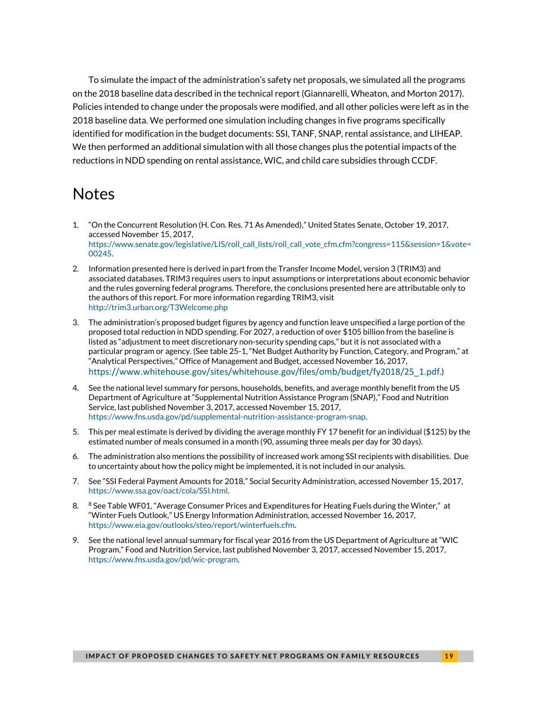To simulate the impact of the administration's safety net proposals, we simulated all the programs on the 2018 baseline data described in the technical report (Giannarelli, Wheaton, and Morton 2017). Policies intended to change under the proposals were modified, and all other policies were left as in the 2018 baseline data. We performed one simulation including changes in five programs specifically identified for modification in the budget documents: SSI, TANF, SNAP, rental assistance, and LIHEAP. We then performed an additional simulation with all those changes plus the potential impacts of the reductions in NDD spending on rental assistance, WIC, and child care subsidies through CCDF.

### **Notes**

- 1. "On the Concurrent Resolution (H. Con. Res. 71 As Amended)," United States Senate, October 19, 2017, accessed November 15, 2017, [https://www.senate.gov/legislative/LIS/roll\\_call\\_lists/roll\\_call\\_vote\\_cfm.cfm?congress=115&session=1&vote=](https://www.senate.gov/legislative/LIS/roll_call_lists/roll_call_vote_cfm.cfm?congress=115&session=1&vote=00245) [00245.](https://www.senate.gov/legislative/LIS/roll_call_lists/roll_call_vote_cfm.cfm?congress=115&session=1&vote=00245)
- 2. Information presented here is derived in part from the Transfer Income Model, version 3 (TRIM3) and associated databases. TRIM3 requires users to input assumptions or interpretations about economic behavior and the rules governing federal programs. Therefore, the conclusions presented here are attributable only to the authors of this report. For more information regarding TRIM3, visit <http://trim3.urban.org/T3Welcome.php>
- 3. The administration's proposed budget figures by agency and function leave unspecified a large portion of the proposed total reduction in NDD spending. For 2027, a reduction of over \$105 billion from the baseline is listed as "adjustment to meet discretionary non-security spending caps," but it is not associated with a particular program or agency. (See table 25-1, "Net Budget Authority by Function, Category, and Program," at "Analytical Perspectives," Office of Management and Budget, accessed November 16, 2017, [https://www.whitehouse.gov/sites/whitehouse.gov/files/omb/budget/fy2018/25\\_1.pdf](https://www.whitehouse.gov/sites/whitehouse.gov/files/omb/budget/fy2018/25_1.pdf).)
- 4. See the national level summary for persons, households, benefits, and average monthly benefit from the US Department of Agriculture at "Supplemental Nutrition Assistance Program (SNAP)," Food and Nutrition Service, last published November 3, 2017, accessed November 15, 2017, [https://www.fns.usda.gov/pd/supplemental-nutrition-assistance-program-snap.](https://www.fns.usda.gov/pd/supplemental-nutrition-assistance-program-snap)
- 5. This per meal estimate is derived by dividing the average monthly FY 17 benefit for an individual (\$125) by the estimated number of meals consumed in a month (90, assuming three meals per day for 30 days).
- 6. The administration also mentions the possibility of increased work among SSI recipients with disabilities. Due to uncertainty about how the policy might be implemented, it is not included in our analysis.
- 7. See "SSI Federal Payment Amounts for 2018," Social Security Administration, accessed November 15, 2017, [https://www.ssa.gov/oact/cola/SSI.html.](https://www.ssa.gov/oact/cola/SSI.html)
- 8. 8 See Table WF01, "Average Consumer Prices and Expenditures for Heating Fuels during the Winter," at "Winter Fuels Outlook," US Energy Information Administration, accessed November 16, 2017, [https://www.eia.gov/outlooks/steo/report/winterfuels.cfm.](https://www.eia.gov/outlooks/steo/report/winterfuels.cfm)
- 9. See the national level annual summary for fiscal year 2016 from the US Department of Agriculture at "WIC Program," Food and Nutrition Service, last published November 3, 2017, accessed November 15, 2017, [https://www.fns.usda.gov/pd/wic-program.](https://www.fns.usda.gov/pd/wic-program)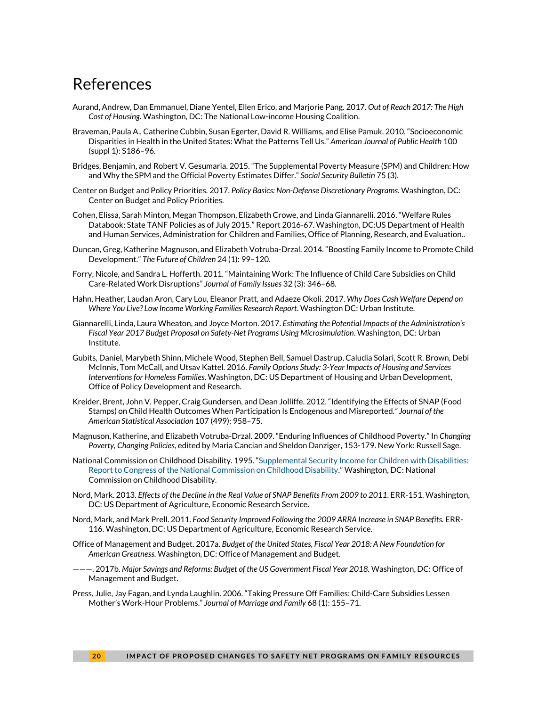### References

- Aurand, Andrew, Dan Emmanuel, Diane Yentel, Ellen Erico, and Marjorie Pang. 2017. *Out of Reach 2017: The High Cost of Housing*. Washington, DC: The National Low-income Housing Coalition.
- Braveman, Paula A., Catherine Cubbin, Susan Egerter, David R. Williams, and Elise Pamuk. 2010. "Socioeconomic Disparities in Health in the United States: What the Patterns Tell Us." *American Journal of Public Health* 100 (suppl 1): S186–96.
- Bridges, Benjamin, and Robert V. Gesumaria. 2015. "The Supplemental Poverty Measure (SPM) and Children: How and Why the SPM and the Official Poverty Estimates Differ." *Social Security Bulletin* 75 (3).
- Center on Budget and Policy Priorities. 2017. *Policy Basics: Non-Defense Discretionary Programs.* Washington, DC: Center on Budget and Policy Priorities.
- Cohen, Elissa, Sarah Minton, Megan Thompson, Elizabeth Crowe, and Linda Giannarelli. 2016. "Welfare Rules Databook: State TANF Policies as of July 2015." Report 2016-67. Washington, DC:US Department of Health and Human Services, Administration for Children and Families, Office of Planning, Research, and Evaluation..
- Duncan, Greg, Katherine Magnuson, and Elizabeth Votruba-Drzal. 2014. "Boosting Family Income to Promote Child Development." *The Future of Children* 24 (1): 99–120.
- Forry, Nicole, and Sandra L. Hofferth. 2011. "Maintaining Work: The Influence of Child Care Subsidies on Child Care-Related Work Disruptions" *Journal of Family Issues* 32 (3): 346–68.
- Hahn, Heather, Laudan Aron, Cary Lou, Eleanor Pratt, and Adaeze Okoli. 2017. *Why Does Cash Welfare Depend on Where You Live? Low Income Working Families Research Report*. Washington DC: Urban Institute.
- Giannarelli, Linda, Laura Wheaton, and Joyce Morton. 2017. *Estimating the Potential Impacts of the Administration's Fiscal Year 2017 Budget Proposal on Safety-Net Programs Using Microsimulation*. Washington, DC: Urban Institute.
- Gubits, Daniel, Marybeth Shinn, Michele Wood, Stephen Bell, Samuel Dastrup, Caludia Solari, Scott R. Brown, Debi McInnis, Tom McCall, and Utsav Kattel*.* 2016. *Family Options Study: 3-Year Impacts of Housing and Services Interventions for Homeless Families.* Washington, DC: US Department of Housing and Urban Development, Office of Policy Development and Research.
- Kreider, Brent, John V. Pepper, Craig Gundersen, and Dean Jolliffe. 2012. "Identifying the Effects of SNAP (Food Stamps) on Child Health Outcomes When Participation Is Endogenous and Misreported*." Journal of the American Statistical Association* 107 (499): 958–75.
- Magnuson, Katherine, and Elizabeth Votruba-Drzal. 2009. "Enduring Influences of Childhood Poverty." In *Changing Poverty, Changing Policies*, edited by Maria Cancian and Sheldon Danziger, 153-179. New York: Russell Sage.
- National Commission on Childhood Disability. 1995. "[Supplemental Security Income for Children with Disabilities:](https://www.ssa.gov/history/reports/SSI/ChildhoodDisabilityReport.html)  [Report to Congress of the National Commission on Childhood Disability](https://www.ssa.gov/history/reports/SSI/ChildhoodDisabilityReport.html)." Washington, DC: National Commission on Childhood Disability.
- Nord, Mark. 2013. *Effects of the Decline in the Real Value of SNAP Benefits From 2009 to 2011*. ERR-151. Washington, DC: US Department of Agriculture, Economic Research Service.
- Nord, Mark, and Mark Prell. 2011. *Food Security Improved Following the 2009 ARRA Increase in SNAP Benefits.* ERR-116. Washington, DC: US Department of Agriculture, Economic Research Service.
- Office of Management and Budget. 2017a. *Budget of the United States, Fiscal Year 2018: A New Foundation for American Greatness.* Washington, DC: Office of Management and Budget.
- ———. 2017b. *Major Savings and Reforms: Budget of the US Government Fiscal Year 2018.* Washington, DC: Office of Management and Budget.
- Press, Julie, Jay Fagan, and Lynda Laughlin. 2006. "Taking Pressure Off Families: Child-Care Subsidies Lessen Mother's Work-Hour Problems." *Journal of Marriage and Family* 68 (1): 155–71.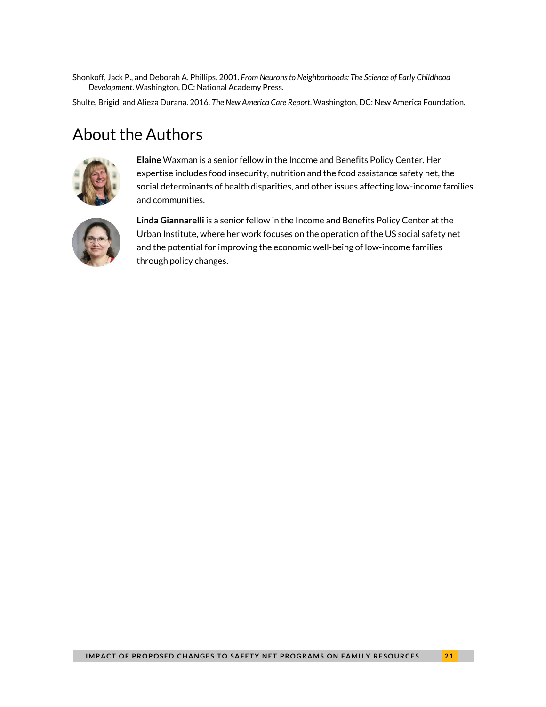Shonkoff, Jack P., and Deborah A. Phillips. 2001. *From Neurons to Neighborhoods: The Science of Early Childhood Development*. Washington, DC: National Academy Press.

Shulte, Brigid, and Alieza Durana. 2016. *The New America Care Report*. Washington, DC: New America Foundation.

### About the Authors



**Elaine** Waxman is a senior fellow in the Income and Benefits Policy Center. Her expertise includes food insecurity, nutrition and the food assistance safety net, the social determinants of health disparities, and other issues affecting low-income families and communities.



**Linda Giannarelli** is a senior fellow in the Income and Benefits Policy Center at the Urban Institute, where her work focuses on the operation of the US social safety net and the potential for improving the economic well-being of low-income families through policy changes.